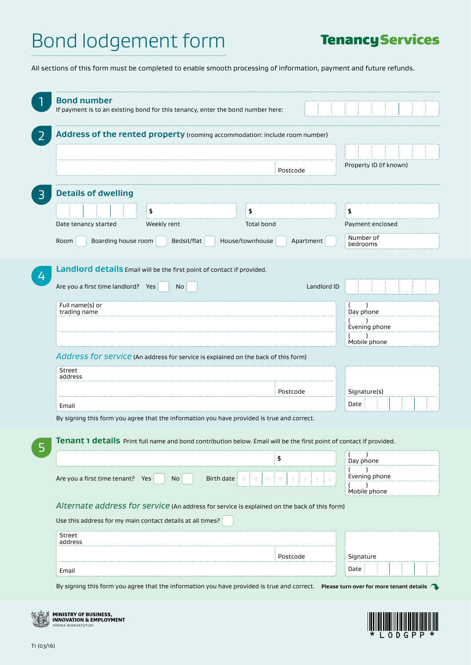## **Tenancy Services**

All sections of this form must be completed to enable smooth processing of information, payment and future refunds.

| <b>Bond number</b>                                                                                                                   |                                                                             |                   |             |                        |       |    |  |  |  |
|--------------------------------------------------------------------------------------------------------------------------------------|-----------------------------------------------------------------------------|-------------------|-------------|------------------------|-------|----|--|--|--|
| If payment is to an existing bond for this tenancy, enter the bond number here:                                                      |                                                                             |                   |             |                        |       |    |  |  |  |
| 2                                                                                                                                    | Address of the rented property (rooming accommodation: include room number) |                   |             |                        |       |    |  |  |  |
|                                                                                                                                      |                                                                             |                   |             |                        |       |    |  |  |  |
|                                                                                                                                      |                                                                             |                   |             | Property ID (if known) |       |    |  |  |  |
|                                                                                                                                      |                                                                             | Postcode          |             |                        |       |    |  |  |  |
| <b>Details of dwelling</b><br>3                                                                                                      |                                                                             |                   |             |                        |       |    |  |  |  |
| \$                                                                                                                                   | \$                                                                          |                   |             |                        |       | \$ |  |  |  |
| Weekly rent<br>Date tenancy started                                                                                                  |                                                                             | <b>Total bond</b> |             | Payment enclosed       |       |    |  |  |  |
|                                                                                                                                      | Bedsit/flat                                                                 | House/townhouse   |             | Number of              |       |    |  |  |  |
| Boarding house room<br>Room                                                                                                          |                                                                             |                   | Apartment   | bedrooms               |       |    |  |  |  |
| Landlord details Email will be the first point of contact if provided.                                                               |                                                                             |                   |             |                        |       |    |  |  |  |
| $\overline{4}$                                                                                                                       |                                                                             |                   |             |                        |       |    |  |  |  |
| Are you a first time landlord? Yes                                                                                                   | No                                                                          |                   | Landlord ID |                        |       |    |  |  |  |
| Full name(s) or<br>trading name                                                                                                      |                                                                             |                   |             | Day phone              |       |    |  |  |  |
|                                                                                                                                      |                                                                             |                   |             | Evening phone          |       |    |  |  |  |
|                                                                                                                                      |                                                                             |                   |             | Mobile phone           |       |    |  |  |  |
| Address for service (An address for service is explained on the back of this form)                                                   |                                                                             |                   |             |                        |       |    |  |  |  |
| Street                                                                                                                               |                                                                             |                   |             |                        |       |    |  |  |  |
| address                                                                                                                              |                                                                             |                   |             |                        |       |    |  |  |  |
|                                                                                                                                      |                                                                             | Postcode          |             | Signature(s)           |       |    |  |  |  |
| Email                                                                                                                                |                                                                             |                   |             | Date                   |       |    |  |  |  |
| By signing this form you agree that the information you have provided is true and correct.                                           |                                                                             |                   |             |                        |       |    |  |  |  |
| Tenant 1 details Print full name and bond contribution below. Email will be the first point of contact if provided.                  |                                                                             |                   |             |                        |       |    |  |  |  |
| 5                                                                                                                                    |                                                                             | \$                |             | Day phone              |       |    |  |  |  |
|                                                                                                                                      |                                                                             |                   |             | Evening phone          |       |    |  |  |  |
| Are you a first time tenant? Yes<br>No                                                                                               | Birth date                                                                  | a<br>d.<br>m      |             |                        |       |    |  |  |  |
|                                                                                                                                      |                                                                             |                   |             | Mobile phone           |       |    |  |  |  |
| Alternate address for service (An address for service is explained on the back of this form)                                         |                                                                             |                   |             |                        |       |    |  |  |  |
| Use this address for my main contact details at all times?                                                                           |                                                                             |                   |             |                        |       |    |  |  |  |
| Street<br>address                                                                                                                    |                                                                             |                   |             |                        |       |    |  |  |  |
|                                                                                                                                      |                                                                             | Postcode          |             | Signature              |       |    |  |  |  |
| Email                                                                                                                                |                                                                             |                   |             | Date                   |       |    |  |  |  |
| By signing this form you agree that the information you have provided is true and correct.  Please turn over for more tenant details |                                                                             |                   |             |                        |       |    |  |  |  |
|                                                                                                                                      |                                                                             |                   |             |                        |       |    |  |  |  |
| <b>MINISTRY OF BUSINESS,</b><br>INNOVATION & EMPLOYMENT                                                                              |                                                                             |                   |             |                        |       |    |  |  |  |
| KINA WHAKATIITIIKI                                                                                                                   |                                                                             |                   |             |                        | 0 D G |    |  |  |  |